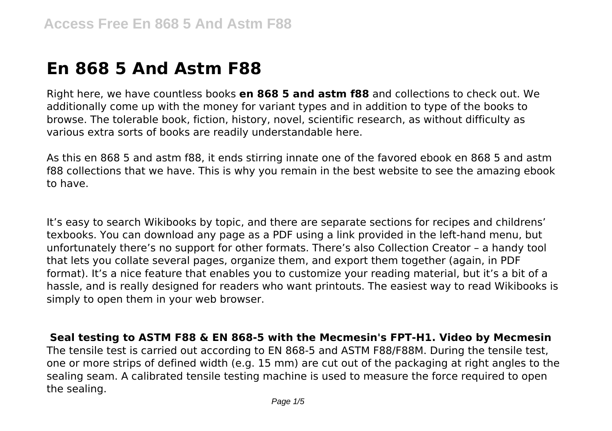# **En 868 5 And Astm F88**

Right here, we have countless books **en 868 5 and astm f88** and collections to check out. We additionally come up with the money for variant types and in addition to type of the books to browse. The tolerable book, fiction, history, novel, scientific research, as without difficulty as various extra sorts of books are readily understandable here.

As this en 868 5 and astm f88, it ends stirring innate one of the favored ebook en 868 5 and astm f88 collections that we have. This is why you remain in the best website to see the amazing ebook to have.

It's easy to search Wikibooks by topic, and there are separate sections for recipes and childrens' texbooks. You can download any page as a PDF using a link provided in the left-hand menu, but unfortunately there's no support for other formats. There's also Collection Creator – a handy tool that lets you collate several pages, organize them, and export them together (again, in PDF format). It's a nice feature that enables you to customize your reading material, but it's a bit of a hassle, and is really designed for readers who want printouts. The easiest way to read Wikibooks is simply to open them in your web browser.

**Seal testing to ASTM F88 & EN 868-5 with the Mecmesin's FPT-H1. Video by Mecmesin** The tensile test is carried out according to EN 868-5 and ASTM F88/F88M. During the tensile test, one or more strips of defined width (e.g. 15 mm) are cut out of the packaging at right angles to the sealing seam. A calibrated tensile testing machine is used to measure the force required to open the sealing.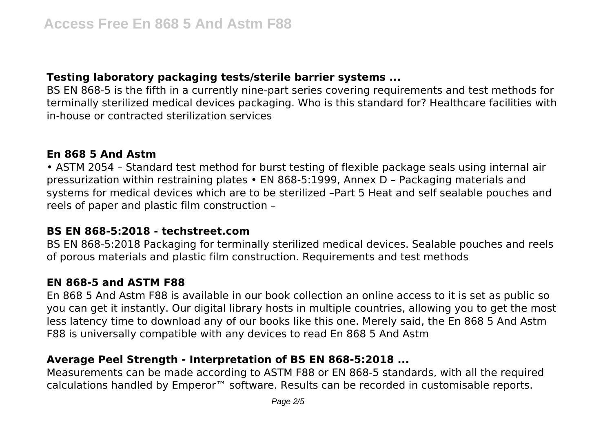## **Testing laboratory packaging tests/sterile barrier systems ...**

BS EN 868-5 is the fifth in a currently nine-part series covering requirements and test methods for terminally sterilized medical devices packaging. Who is this standard for? Healthcare facilities with in-house or contracted sterilization services

### **En 868 5 And Astm**

• ASTM 2054 – Standard test method for burst testing of flexible package seals using internal air pressurization within restraining plates • EN 868-5:1999, Annex D – Packaging materials and systems for medical devices which are to be sterilized –Part 5 Heat and self sealable pouches and reels of paper and plastic film construction –

#### **BS EN 868-5:2018 - techstreet.com**

BS EN 868-5:2018 Packaging for terminally sterilized medical devices. Sealable pouches and reels of porous materials and plastic film construction. Requirements and test methods

## **EN 868-5 and ASTM F88**

En 868 5 And Astm F88 is available in our book collection an online access to it is set as public so you can get it instantly. Our digital library hosts in multiple countries, allowing you to get the most less latency time to download any of our books like this one. Merely said, the En 868 5 And Astm F88 is universally compatible with any devices to read En 868 5 And Astm

# **Average Peel Strength - Interpretation of BS EN 868-5:2018 ...**

Measurements can be made according to ASTM F88 or EN 868-5 standards, with all the required calculations handled by Emperor™ software. Results can be recorded in customisable reports.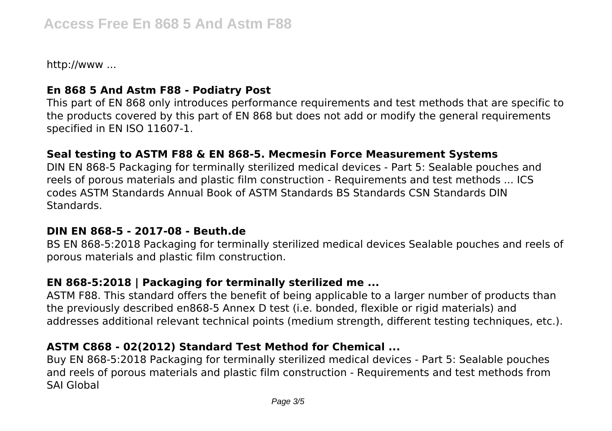http://www ...

## **En 868 5 And Astm F88 - Podiatry Post**

This part of EN 868 only introduces performance requirements and test methods that are specific to the products covered by this part of EN 868 but does not add or modify the general requirements specified in EN ISO 11607-1.

## **Seal testing to ASTM F88 & EN 868-5. Mecmesin Force Measurement Systems**

DIN EN 868-5 Packaging for terminally sterilized medical devices - Part 5: Sealable pouches and reels of porous materials and plastic film construction - Requirements and test methods ... ICS codes ASTM Standards Annual Book of ASTM Standards BS Standards CSN Standards DIN Standards.

#### **DIN EN 868-5 - 2017-08 - Beuth.de**

BS EN 868-5:2018 Packaging for terminally sterilized medical devices Sealable pouches and reels of porous materials and plastic film construction.

# **EN 868-5:2018 | Packaging for terminally sterilized me ...**

ASTM F88. This standard offers the benefit of being applicable to a larger number of products than the previously described en868-5 Annex D test (i.e. bonded, flexible or rigid materials) and addresses additional relevant technical points (medium strength, different testing techniques, etc.).

# **ASTM C868 - 02(2012) Standard Test Method for Chemical ...**

Buy EN 868-5:2018 Packaging for terminally sterilized medical devices - Part 5: Sealable pouches and reels of porous materials and plastic film construction - Requirements and test methods from SAI Global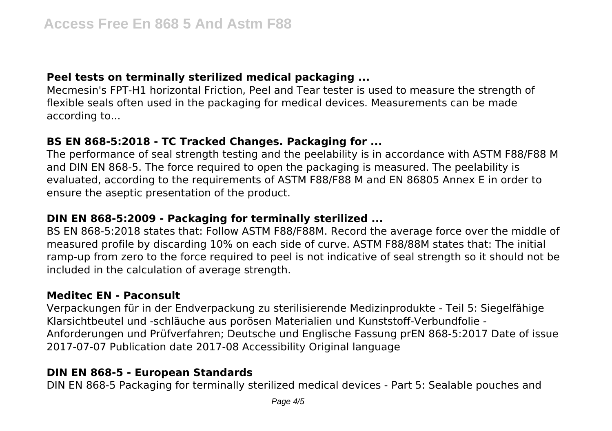## **Peel tests on terminally sterilized medical packaging ...**

Mecmesin's FPT-H1 horizontal Friction, Peel and Tear tester is used to measure the strength of flexible seals often used in the packaging for medical devices. Measurements can be made according to...

## **BS EN 868-5:2018 - TC Tracked Changes. Packaging for ...**

The performance of seal strength testing and the peelability is in accordance with ASTM F88/F88 M and DIN EN 868-5. The force required to open the packaging is measured. The peelability is evaluated, according to the requirements of ASTM F88/F88 M and EN 86805 Annex E in order to ensure the aseptic presentation of the product.

# **DIN EN 868-5:2009 - Packaging for terminally sterilized ...**

BS EN 868-5:2018 states that: Follow ASTM F88/F88M. Record the average force over the middle of measured profile by discarding 10% on each side of curve. ASTM F88/88M states that: The initial ramp-up from zero to the force required to peel is not indicative of seal strength so it should not be included in the calculation of average strength.

# **Meditec EN - Paconsult**

Verpackungen für in der Endverpackung zu sterilisierende Medizinprodukte - Teil 5: Siegelfähige Klarsichtbeutel und -schläuche aus porösen Materialien und Kunststoff-Verbundfolie - Anforderungen und Prüfverfahren; Deutsche und Englische Fassung prEN 868-5:2017 Date of issue 2017-07-07 Publication date 2017-08 Accessibility Original language

# **DIN EN 868-5 - European Standards**

DIN EN 868-5 Packaging for terminally sterilized medical devices - Part 5: Sealable pouches and